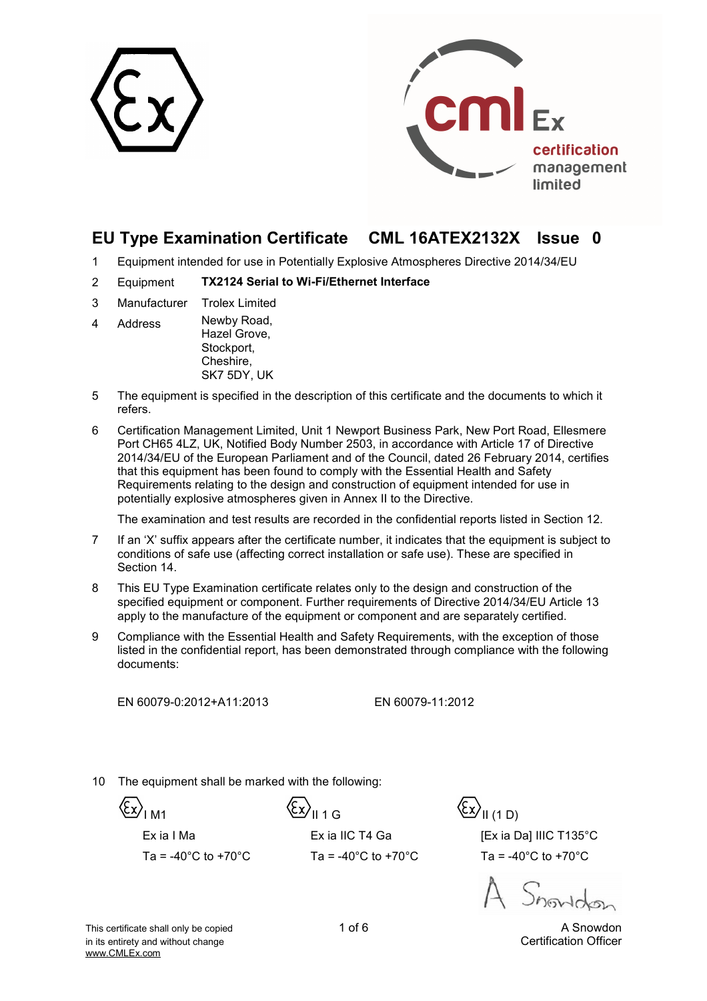



# **EU Type Examination Certificate CML 16ATEX2132X Issue 0**

- 1 Equipment intended for use in Potentially Explosive Atmospheres Directive 2014/34/EU
- 2 Equipment **TX2124 Serial to Wi-Fi/Ethernet Interface**
- 3 Manufacturer Trolex Limited
- 4 Address Newby Road, Hazel Grove, Stockport. Cheshire, SK7 5DY, UK
- 5 The equipment is specified in the description of this certificate and the documents to which it refers.
- 6 Certification Management Limited, Unit 1 Newport Business Park, New Port Road, Ellesmere Port CH65 4LZ, UK, Notified Body Number 2503, in accordance with Article 17 of Directive 2014/34/EU of the European Parliament and of the Council, dated 26 February 2014, certifies that this equipment has been found to comply with the Essential Health and Safety Requirements relating to the design and construction of equipment intended for use in potentially explosive atmospheres given in Annex II to the Directive.

The examination and test results are recorded in the confidential reports listed in Section 12.

- 7 If an 'X' suffix appears after the certificate number, it indicates that the equipment is subject to conditions of safe use (affecting correct installation or safe use). These are specified in Section 14.
- 8 This EU Type Examination certificate relates only to the design and construction of the specified equipment or component. Further requirements of Directive 2014/34/EU Article 13 apply to the manufacture of the equipment or component and are separately certified.
- 9 Compliance with the Essential Health and Safety Requirements, with the exception of those listed in the confidential report, has been demonstrated through compliance with the following documents:

EN 60079-0:2012+A11:2013 EN 60079-11:2012

10 The equipment shall be marked with the following:



Ex ia I Ma Ex ia IIC T4 Ga [Ex ia Da] IIIC T135°C Ta = -40°C to +70°C Ta = -40°C to +70°C Ta = -40°C to +70°C

 $I_{\text{I} \text{M}1}$   $\left\langle \xi_{\text{X}} \right\rangle_{\text{II} \text{1 G}}$   $\left\langle \xi_{\text{X}} \right\rangle_{\text{II} \text{1 D}}$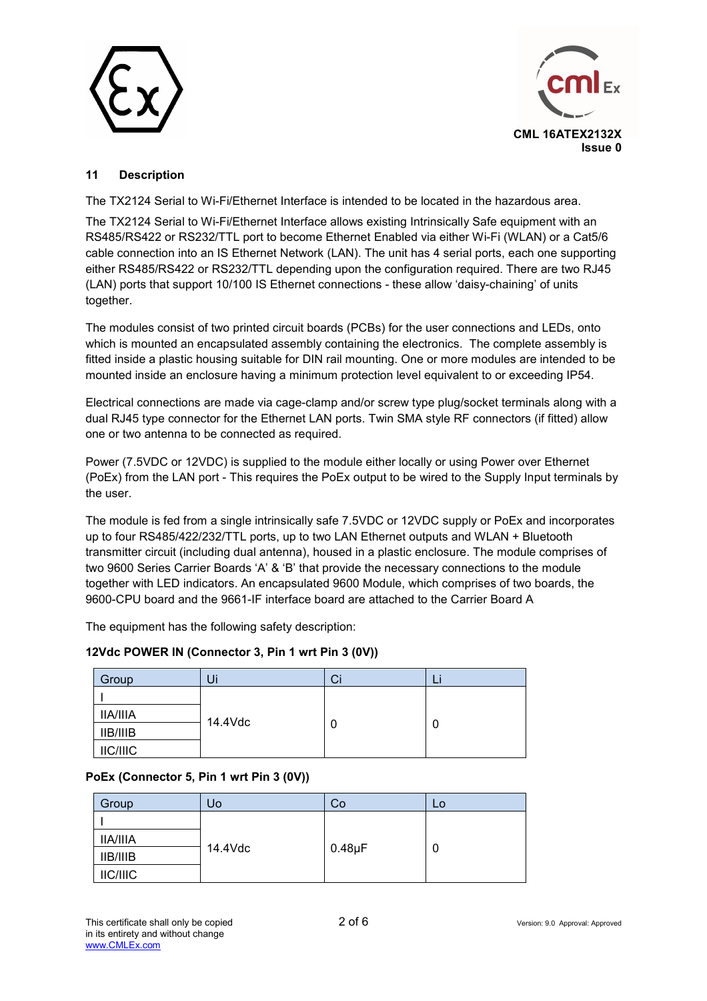



# **11 Description**

The TX2124 Serial to Wi-Fi/Ethernet Interface is intended to be located in the hazardous area.

The TX2124 Serial to Wi-Fi/Ethernet Interface allows existing Intrinsically Safe equipment with an RS485/RS422 or RS232/TTL port to become Ethernet Enabled via either Wi-Fi (WLAN) or a Cat5/6 cable connection into an IS Ethernet Network (LAN). The unit has 4 serial ports, each one supporting either RS485/RS422 or RS232/TTL depending upon the configuration required. There are two RJ45 (LAN) ports that support 10/100 IS Ethernet connections - these allow 'daisy-chaining' of units together.

The modules consist of two printed circuit boards (PCBs) for the user connections and LEDs, onto which is mounted an encapsulated assembly containing the electronics. The complete assembly is fitted inside a plastic housing suitable for DIN rail mounting. One or more modules are intended to be mounted inside an enclosure having a minimum protection level equivalent to or exceeding IP54.

Electrical connections are made via cage-clamp and/or screw type plug/socket terminals along with a dual RJ45 type connector for the Ethernet LAN ports. Twin SMA style RF connectors (if fitted) allow one or two antenna to be connected as required.

Power (7.5VDC or 12VDC) is supplied to the module either locally or using Power over Ethernet (PoEx) from the LAN port - This requires the PoEx output to be wired to the Supply Input terminals by the user.

The module is fed from a single intrinsically safe 7.5VDC or 12VDC supply or PoEx and incorporates up to four RS485/422/232/TTL ports, up to two LAN Ethernet outputs and WLAN + Bluetooth transmitter circuit (including dual antenna), housed in a plastic enclosure. The module comprises of two 9600 Series Carrier Boards 'A' & 'B' that provide the necessary connections to the module together with LED indicators. An encapsulated 9600 Module, which comprises of two boards, the 9600-CPU board and the 9661-IF interface board are attached to the Carrier Board A

The equipment has the following safety description:

# **12Vdc POWER IN (Connector 3, Pin 1 wrt Pin 3 (0V))**

| Group           | Ui      | Ci |   |
|-----------------|---------|----|---|
|                 |         |    |   |
| <b>IIA/IIIA</b> |         |    |   |
| <b>IIB/IIIB</b> | 14.4Vdc | U  | U |
| IIC/IIIC        |         |    |   |

### **PoEx (Connector 5, Pin 1 wrt Pin 3 (0V))**

| Group           | Uo      | Co          | Lo |
|-----------------|---------|-------------|----|
|                 |         |             |    |
| <b>IIA/IIIA</b> |         |             |    |
| <b>IIB/IIIB</b> | 14.4Vdc | $0.48\mu F$ | 0  |
| IIC/IIIC        |         |             |    |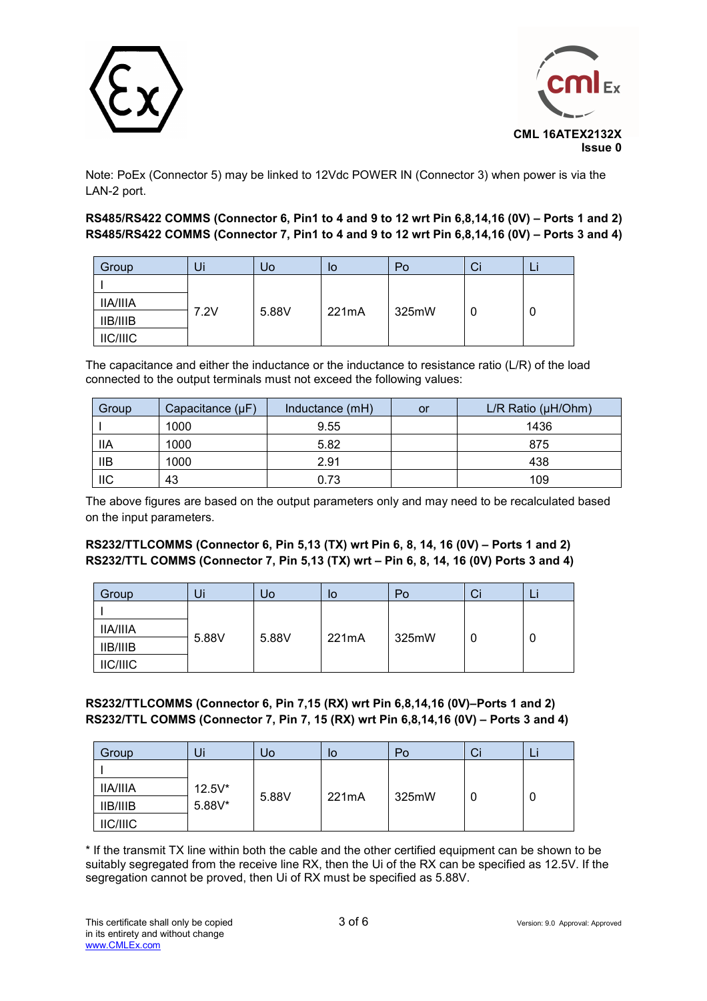



Note: PoEx (Connector 5) may be linked to 12Vdc POWER IN (Connector 3) when power is via the LAN-2 port.

#### **RS485/RS422 COMMS (Connector 6, Pin1 to 4 and 9 to 12 wrt Pin 6,8,14,16 (0V) – Ports 1 and 2) RS485/RS422 COMMS (Connector 7, Pin1 to 4 and 9 to 12 wrt Pin 6,8,14,16 (0V) – Ports 3 and 4)**

| Group           | Ui   | Uo    | lo    | Po    | Ci | - |
|-----------------|------|-------|-------|-------|----|---|
|                 |      |       |       |       |    |   |
| <b>IIA/IIIA</b> |      |       |       |       |    |   |
| <b>IIB/IIIB</b> | 7.2V | 5.88V | 221mA | 325mW | 0  | U |
| IIC/IIIC        |      |       |       |       |    |   |

The capacitance and either the inductance or the inductance to resistance ratio (L/R) of the load connected to the output terminals must not exceed the following values:

| Group      | Capacitance $(\mu F)$ | Inductance (mH) | or | $L/R$ Ratio ( $\mu H/Ohm$ ) |
|------------|-----------------------|-----------------|----|-----------------------------|
|            | 1000                  | 9.55            |    | 1436                        |
| 11A        | 1000                  | 5.82            |    | 875                         |
| <b>IIB</b> | 1000                  | 2.91            |    | 438                         |
| <b>IIC</b> | 43                    | 0.73            |    | 109                         |

The above figures are based on the output parameters only and may need to be recalculated based on the input parameters.

# **RS232/TTLCOMMS (Connector 6, Pin 5,13 (TX) wrt Pin 6, 8, 14, 16 (0V) – Ports 1 and 2) RS232/TTL COMMS (Connector 7, Pin 5,13 (TX) wrt – Pin 6, 8, 14, 16 (0V) Ports 3 and 4)**

| Group           | Ui    | Uo    | lo    | Po    | Ci | . . |
|-----------------|-------|-------|-------|-------|----|-----|
|                 |       |       |       |       |    |     |
| <b>IIA/IIIA</b> |       |       |       |       |    |     |
| <b>IIB/IIIB</b> | 5.88V | 5.88V | 221mA | 325mW | Ü  | O   |
| IIC/IIIC        |       |       |       |       |    |     |

# **RS232/TTLCOMMS (Connector 6, Pin 7,15 (RX) wrt Pin 6,8,14,16 (0V)–Ports 1 and 2) RS232/TTL COMMS (Connector 7, Pin 7, 15 (RX) wrt Pin 6,8,14,16 (0V) – Ports 3 and 4)**

| Group           | Ui        | Uo    | IО    | Po    | Ci | ы |
|-----------------|-----------|-------|-------|-------|----|---|
|                 |           |       |       |       |    |   |
| <b>IIA/IIIA</b> | $12.5V^*$ |       |       |       |    |   |
| <b>IIB/IIIB</b> | 5.88V*    | 5.88V | 221mA | 325mW | U  | 0 |
| IIC/IIIC        |           |       |       |       |    |   |

\* If the transmit TX line within both the cable and the other certified equipment can be shown to be suitably segregated from the receive line RX, then the Ui of the RX can be specified as 12.5V. If the segregation cannot be proved, then Ui of RX must be specified as 5.88V.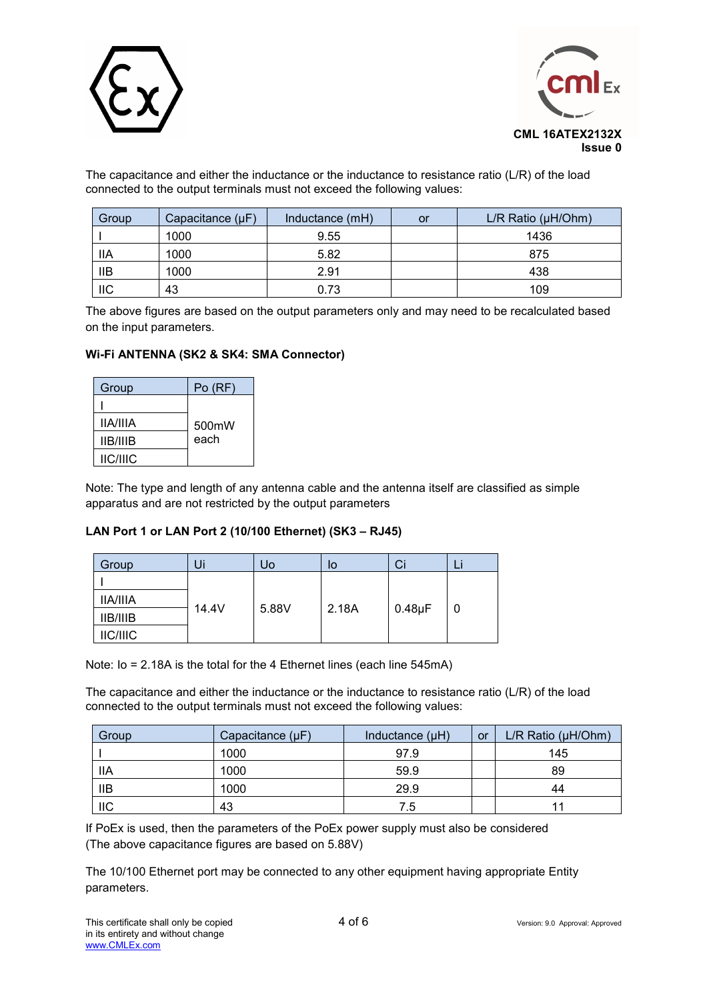



The capacitance and either the inductance or the inductance to resistance ratio (L/R) of the load connected to the output terminals must not exceed the following values:

| Group      | Capacitance (µF) | Inductance (mH) | or | L/R Ratio ( $\mu$ H/Ohm) |
|------------|------------------|-----------------|----|--------------------------|
|            | 1000             | 9.55            |    | 1436                     |
| <b>IIA</b> | 1000             | 5.82            |    | 875                      |
| IIВ        | 1000             | 2.91            |    | 438                      |
| IIC        | 43               | 0.73            |    | 109                      |

The above figures are based on the output parameters only and may need to be recalculated based on the input parameters.

### **Wi-Fi ANTENNA (SK2 & SK4: SMA Connector)**

| Group           | Po(RF) |
|-----------------|--------|
|                 |        |
| IIA/IIIA        | 500mW  |
| <b>IIB/IIIB</b> | each   |
| <b>IIC/IIIC</b> |        |

Note: The type and length of any antenna cable and the antenna itself are classified as simple apparatus and are not restricted by the output parameters

### **LAN Port 1 or LAN Port 2 (10/100 Ethernet) (SK3 – RJ45)**

| Group           | Ui    | Uo    | IО    | Ci          | ш |
|-----------------|-------|-------|-------|-------------|---|
|                 |       |       |       |             |   |
| <b>IIA/IIIA</b> |       |       |       |             |   |
| <b>IIB/IIIB</b> | 14.4V | 5.88V | 2.18A | $0.48\mu F$ |   |
| IIC/IIIC        |       |       |       |             |   |

Note: Io = 2.18A is the total for the 4 Ethernet lines (each line 545mA)

The capacitance and either the inductance or the inductance to resistance ratio (L/R) of the load connected to the output terminals must not exceed the following values:

| Group      | Capacitance $(\mu F)$ | Inductance $(\mu H)$ | or | $L/R$ Ratio ( $\mu H/Ohm$ ) |
|------------|-----------------------|----------------------|----|-----------------------------|
|            | 1000                  | 97.9                 |    | 145                         |
| <b>IIA</b> | 1000                  | 59.9                 |    | 89                          |
| <b>IIB</b> | 1000                  | 29.9                 |    | 44                          |
| IIC        | 43                    | 7.5                  |    |                             |

If PoEx is used, then the parameters of the PoEx power supply must also be considered (The above capacitance figures are based on 5.88V)

The 10/100 Ethernet port may be connected to any other equipment having appropriate Entity parameters.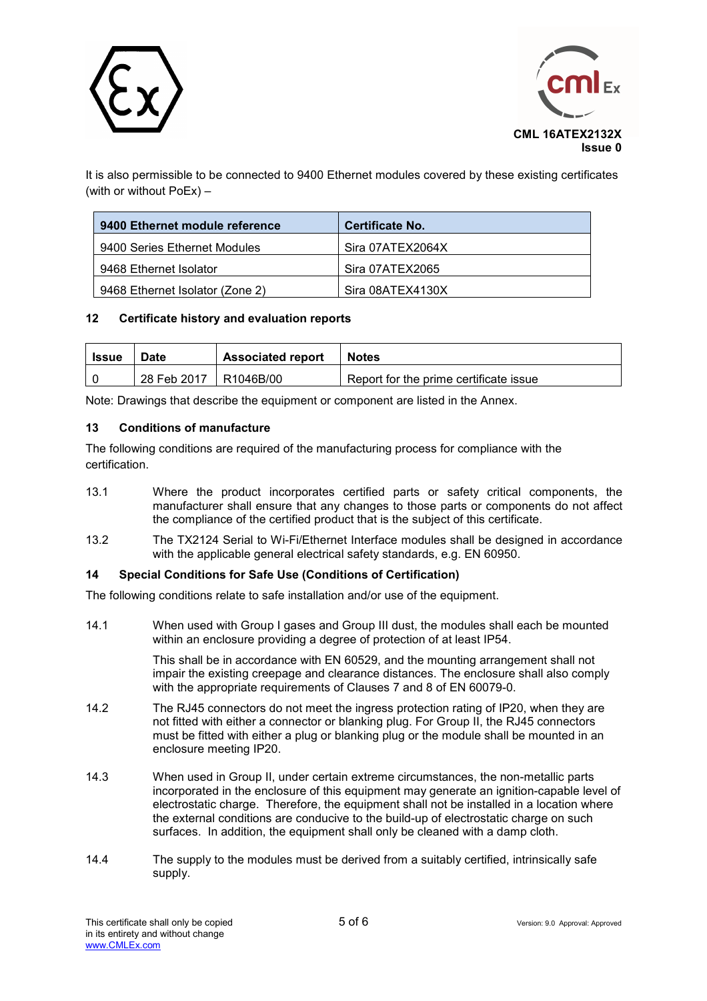



It is also permissible to be connected to 9400 Ethernet modules covered by these existing certificates (with or without PoEx) –

| 9400 Ethernet module reference  | Certificate No.  |
|---------------------------------|------------------|
| 9400 Series Ethernet Modules    | Sira 07ATEX2064X |
| 9468 Ethernet Isolator          | Sira 07ATEX2065  |
| 9468 Ethernet Isolator (Zone 2) | Sira 08ATEX4130X |

#### **12 Certificate history and evaluation reports**

| Issue | <b>Date</b> | <b>Associated report</b> | <b>Notes</b>                           |
|-------|-------------|--------------------------|----------------------------------------|
|       | 28 Feb 2017 | R <sub>1046</sub> B/00   | Report for the prime certificate issue |

Note: Drawings that describe the equipment or component are listed in the Annex.

### **13 Conditions of manufacture**

The following conditions are required of the manufacturing process for compliance with the certification.

- 13.1 Where the product incorporates certified parts or safety critical components, the manufacturer shall ensure that any changes to those parts or components do not affect the compliance of the certified product that is the subject of this certificate.
- 13.2 The TX2124 Serial to Wi-Fi/Ethernet Interface modules shall be designed in accordance with the applicable general electrical safety standards, e.g. EN 60950.

### **14 Special Conditions for Safe Use (Conditions of Certification)**

The following conditions relate to safe installation and/or use of the equipment.

14.1 When used with Group I gases and Group III dust, the modules shall each be mounted within an enclosure providing a degree of protection of at least IP54.

> This shall be in accordance with EN 60529, and the mounting arrangement shall not impair the existing creepage and clearance distances. The enclosure shall also comply with the appropriate requirements of Clauses 7 and 8 of EN 60079-0.

- 14.2 The RJ45 connectors do not meet the ingress protection rating of IP20, when they are not fitted with either a connector or blanking plug. For Group II, the RJ45 connectors must be fitted with either a plug or blanking plug or the module shall be mounted in an enclosure meeting IP20.
- 14.3 When used in Group II, under certain extreme circumstances, the non-metallic parts incorporated in the enclosure of this equipment may generate an ignition-capable level of electrostatic charge. Therefore, the equipment shall not be installed in a location where the external conditions are conducive to the build-up of electrostatic charge on such surfaces. In addition, the equipment shall only be cleaned with a damp cloth.
- 14.4 The supply to the modules must be derived from a suitably certified, intrinsically safe supply.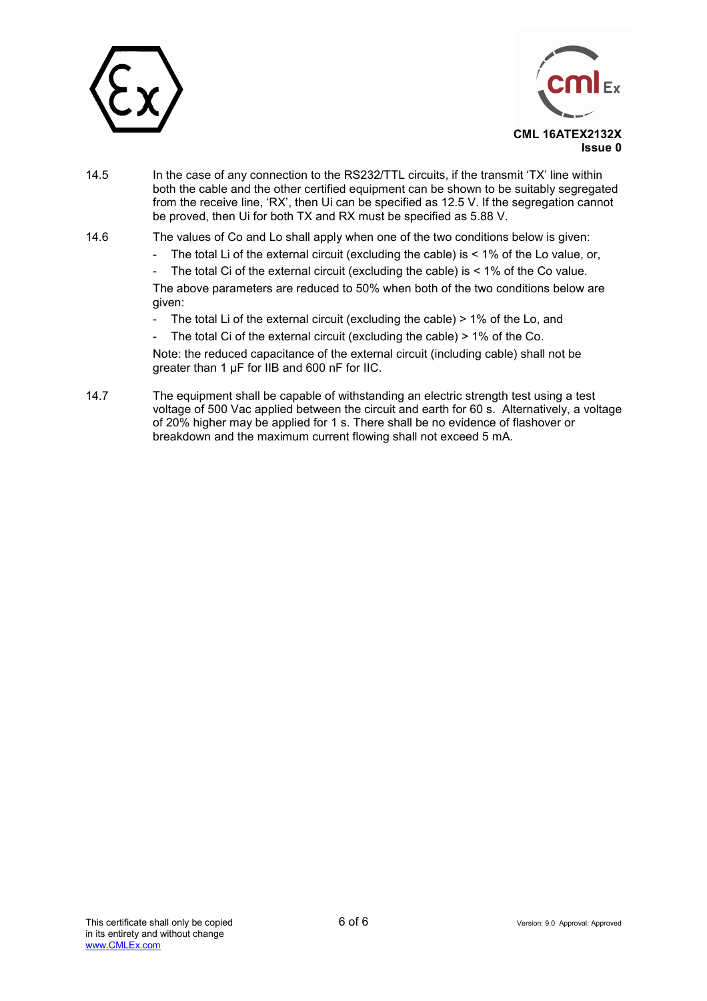



- 14.5 In the case of any connection to the RS232/TTL circuits, if the transmit 'TX' line within both the cable and the other certified equipment can be shown to be suitably segregated from the receive line, 'RX', then Ui can be specified as 12.5 V. If the segregation cannot be proved, then Ui for both TX and RX must be specified as 5.88 V.
- 14.6 The values of Co and Lo shall apply when one of the two conditions below is given:
	- The total Li of the external circuit (excluding the cable) is < 1% of the Lo value, or,
	- The total Ci of the external circuit (excluding the cable) is  $<$  1% of the Co value.

The above parameters are reduced to 50% when both of the two conditions below are given:

- The total Li of the external circuit (excluding the cable) > 1% of the Lo, and
- The total Ci of the external circuit (excluding the cable) > 1% of the Co.

Note: the reduced capacitance of the external circuit (including cable) shall not be greater than 1 µF for IIB and 600 nF for IIC.

14.7 The equipment shall be capable of withstanding an electric strength test using a test voltage of 500 Vac applied between the circuit and earth for 60 s. Alternatively, a voltage of 20% higher may be applied for 1 s. There shall be no evidence of flashover or breakdown and the maximum current flowing shall not exceed 5 mA.